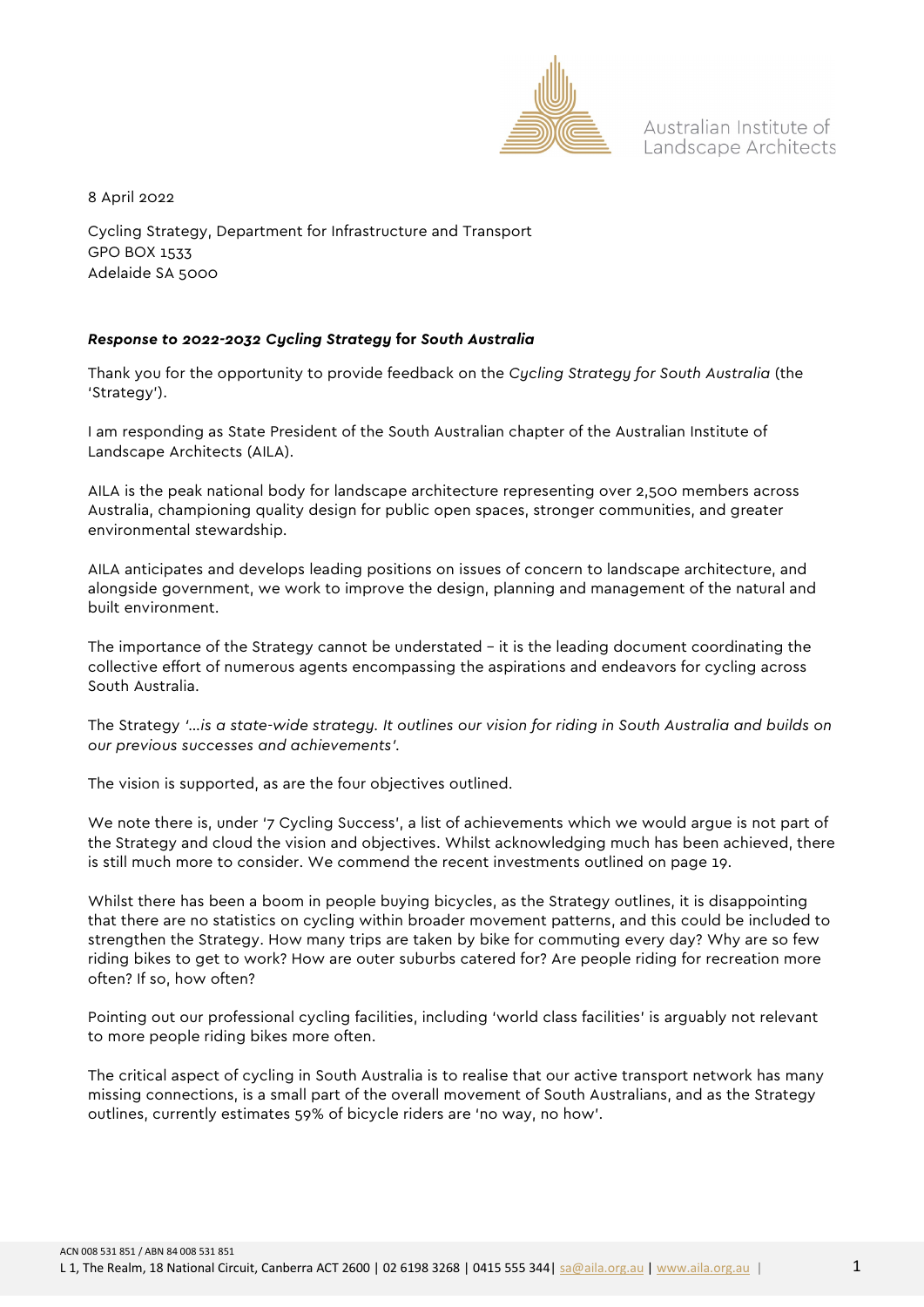

Australian Institute of Landscape Architects

8 April 2022

Cycling Strategy, Department for Infrastructure and Transport GPO BOX 1533 Adelaide SA 5000

## *Response to 2022-2032 Cycling Strategy* **for** *South Australia*

Thank you for the opportunity to provide feedback on the *Cycling Strategy for South Australia* (the 'Strategy').

I am responding as State President of the South Australian chapter of the Australian Institute of Landscape Architects (AILA).

AILA is the peak national body for landscape architecture representing over 2,500 members across Australia, championing quality design for public open spaces, stronger communities, and greater environmental stewardship.

AILA anticipates and develops leading positions on issues of concern to landscape architecture, and alongside government, we work to improve the design, planning and management of the natural and built environment.

The importance of the Strategy cannot be understated – it is the leading document coordinating the collective effort of numerous agents encompassing the aspirations and endeavors for cycling across South Australia.

The Strategy *'…is a state-wide strategy. It outlines our vision for riding in South Australia and builds on our previous successes and achievements'.*

The vision is supported, as are the four objectives outlined.

We note there is, under '7 Cycling Success', a list of achievements which we would argue is not part of the Strategy and cloud the vision and objectives. Whilst acknowledging much has been achieved, there is still much more to consider. We commend the recent investments outlined on page 19.

Whilst there has been a boom in people buying bicycles, as the Strategy outlines, it is disappointing that there are no statistics on cycling within broader movement patterns, and this could be included to strengthen the Strategy. How many trips are taken by bike for commuting every day? Why are so few riding bikes to get to work? How are outer suburbs catered for? Are people riding for recreation more often? If so, how often?

Pointing out our professional cycling facilities, including 'world class facilities' is arguably not relevant to more people riding bikes more often.

The critical aspect of cycling in South Australia is to realise that our active transport network has many missing connections, is a small part of the overall movement of South Australians, and as the Strategy outlines, currently estimates 59% of bicycle riders are 'no way, no how'.